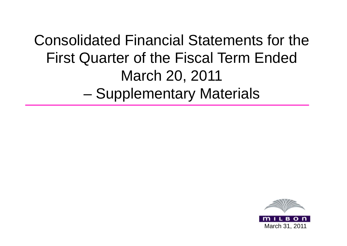Consolidated Financial Statements for the First Quarter of the Fiscal Term Ended March 20, 2011 –**- Supplementary Materials** 

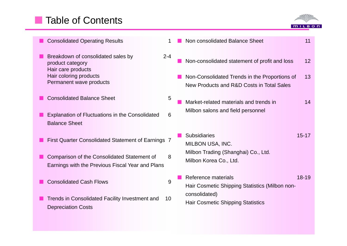# **Table of Contents**



| <b>Consolidated Operating Results</b>                                                           |         | Non consolidated Balance Sheet<br>11                                                             |
|-------------------------------------------------------------------------------------------------|---------|--------------------------------------------------------------------------------------------------|
| Breakdown of consolidated sales by<br>product category<br>Hair care products                    | $2 - 4$ | Non-consolidated statement of profit and loss<br>12                                              |
| Hair coloring products<br>Permanent wave products                                               |         | Non-Consolidated Trends in the Proportions of<br>13<br>New Products and R&D Costs in Total Sales |
| <b>Consolidated Balance Sheet</b>                                                               | 5       | Market-related materials and trends in<br>14                                                     |
| <b>Explanation of Fluctuations in the Consolidated</b><br><b>Balance Sheet</b>                  | 6       | Milbon salons and field personnel                                                                |
| First Quarter Consolidated Statement of Earnings 7                                              |         | <b>Subsidiaries</b><br>$15 - 17$<br>MILBON USA, INC.                                             |
| Comparison of the Consolidated Statement of<br>Earnings with the Previous Fiscal Year and Plans | 8       | Milbon Trading (Shanghai) Co., Ltd.<br>Milbon Korea Co., Ltd.                                    |
| <b>Consolidated Cash Flows</b>                                                                  | 9       | Reference materials<br>$18 - 19$<br>Hair Cosmetic Shipping Statistics (Milbon non-               |
| Trends in Consolidated Facility Investment and<br><b>Depreciation Costs</b>                     | 10      | consolidated)<br><b>Hair Cosmetic Shipping Statistics</b>                                        |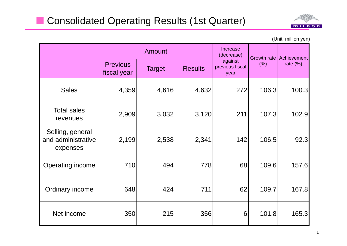

(Unit: million yen)

|                                                    | <b>Amount</b>                  |               |                |                                    |                            | Achievement |  |
|----------------------------------------------------|--------------------------------|---------------|----------------|------------------------------------|----------------------------|-------------|--|
|                                                    | <b>Previous</b><br>fiscal year | <b>Target</b> | <b>Results</b> | against<br>previous fiscal<br>year | <b>Growth rate</b><br>(% ) | rate $(\%)$ |  |
| <b>Sales</b>                                       | 4,359                          | 4,616         | 4,632          | 272                                | 106.3                      | 100.3       |  |
| <b>Total sales</b><br>revenues                     | 2,909                          | 3,032         | 3,120          | 211                                | 107.3                      | 102.9       |  |
| Selling, general<br>and administrative<br>expenses | 2,199                          | 2,538         | 2,341          | 142                                | 106.5                      | 92.3        |  |
| Operating income                                   | 710                            | 494           | 778            | 68                                 | 109.6                      | 157.6       |  |
| Ordinary income                                    | 648                            | 424           | 711            | 62                                 | 109.7                      | 167.8       |  |
| Net income                                         | 350                            | 215           | 356            | 6                                  | 101.8                      | 165.3       |  |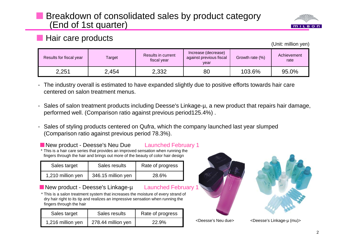### Breakdown of consolidated sales by product category (End of 1st quarter)



#### **Hair care products**

(Unit: million yen)

| Results for fiscal year | Results in current<br>Target<br>fiscal year |       | Increase (decrease)<br>against previous fiscal<br>year | Growth rate (%) | Achievement<br>rate |
|-------------------------|---------------------------------------------|-------|--------------------------------------------------------|-----------------|---------------------|
| 2,251                   | 2,454                                       | 2,332 | 80                                                     | 103.6%          | 95.0%               |

- The industry overall is estimated to have expanded slightly due to positive efforts towards hair care centered on salon treatment menus.
- Sales of salon treatment products including Deesse's Linkage-µ, a new product that repairs hair damage, performed well. (Comparison ratio against previous period125.4%) .
- Sales of styling products centered on Qufra, which the company launched last year slumped (Comparison ratio against previous period 78.3%).

New product - Deesse's Neu Due Launched February 1 \* This is <sup>a</sup> hair care series that provides an improved sensation when running the fingers through the hair and brings out more of the beauty of color hair design

| Sales target      | Sales results      | Rate of progress |  |
|-------------------|--------------------|------------------|--|
| 1,210 million yen | 346.15 million yen | 28.6%            |  |

#### ■ New product - Deesse's Linkage-u Launched February

\* This is a salon treatment system that increases the moisture of every strand of dry hair right to its tip and realizes an impressive sensation when running the fingers through the hair

| Sales target      | Sales results      | Rate of progress |  |  |
|-------------------|--------------------|------------------|--|--|
| 1,216 million yen | 278.44 million yen | 22.9%            |  |  |





1,216 million yen 278.44 million yen 22.9% <Deesse's Neu due> <Deesse's Linkage-µ (mu)>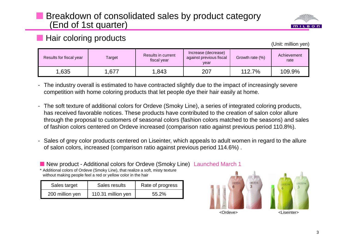### Breakdown of consolidated sales by product category (End of 1st quarter)



#### **Hair coloring products**

(Unit: million yen)

| Results for fiscal year | Results in current<br>Target<br>fiscal year |       | Increase (decrease)<br>against previous fiscal<br>vear | Growth rate (%) | Achievement<br>rate |  |
|-------------------------|---------------------------------------------|-------|--------------------------------------------------------|-----------------|---------------------|--|
| 1,635                   | .677                                        | 1,843 | 207                                                    | 112.7%          | 109.9%              |  |

- The industry overall is estimated to have contracted slightly due to the impact of increasingly severe competition with home coloring products that let people dye their hair easily at home.

- The soft texture of additional colors for Ordeve (Smoky Line), a series of integrated coloring products, has received favorable notices. These products have contributed to the creation of salon color allure through the proposal to customers of seasonal colors (fashion colors matched to the seasons) and sales of fashion colors centered on Ordeve increased (comparison ratio against previous period 110.8%).
- Sales of grey color products centered on Liseinter, which appeals to adult women in regard to the allure of salon colors, increased (comparison ratio against previous period 114.6%) .
- New product Additional colors for Ordeve (Smoky Line) Launched March 1

\* Additional colors of Ordeve (Smoky Line), that realize a soft, misty texture without making people feel a red or yellow color in the hair

| Sales target    | Sales results      | Rate of progress |
|-----------------|--------------------|------------------|
| 200 million yen | 110.31 million yen | $55.2\%$         |

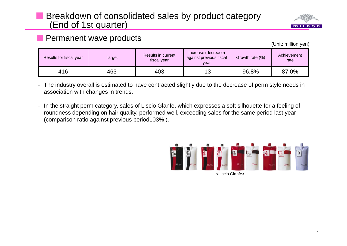### **Breakdown of consolidated sales by product category** (End of 1st quarter)



#### **Permanent wave products**

(Unit: million yen)

| Results for fiscal year | Results in current<br>Target<br>fiscal year |     | Increase (decrease)<br>Growth rate (%)<br>against previous fiscal<br>vear |       | Achievement<br>rate |  |
|-------------------------|---------------------------------------------|-----|---------------------------------------------------------------------------|-------|---------------------|--|
| 416                     | 463                                         | 403 | -13                                                                       | 96.8% | 87.0%               |  |

- The industry overall is estimated to have contracted slightly due to the decrease of perm style needs in association with changes in trends.

- In the straight perm category, sales of Liscio Glanfe, which expresses a soft silhouette for a feeling of roundness depending on hair quality, performed well, exceeding sales for the same period last year (comparison ratio against previous period103% ).

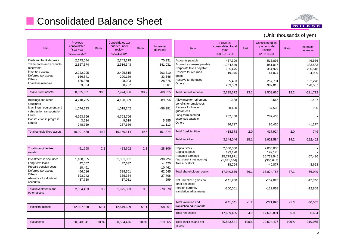# **Consolidated Balance Sheet**



| Item                                                                                                                                        | <b>Previous</b><br>consolidated<br>fiscal year<br>$<$ 2010.12.20 $>$  | Ratio | <b>Consolidated 1st</b><br>quarter under<br>review<br>$<$ 2011.3.20 $>$ | Ratio | Increase/<br>decrease                                           | Item                                                                                                                                      | Previous<br>consolidated fiscal<br>year<br>$<$ 2010.12.20 $>$  | Ratio  | <b>Consolidated 1st</b><br>quarter under<br>review<br>$<$ 2011.3.20 $>$ | Ratio  | Increase/<br>decrease                                              |
|---------------------------------------------------------------------------------------------------------------------------------------------|-----------------------------------------------------------------------|-------|-------------------------------------------------------------------------|-------|-----------------------------------------------------------------|-------------------------------------------------------------------------------------------------------------------------------------------|----------------------------------------------------------------|--------|-------------------------------------------------------------------------|--------|--------------------------------------------------------------------|
| Cash and bank deposits<br>Trade notes and accounts<br>receivable<br>Inventory assets<br>Deferred tax assets<br>Others<br>Loan loss reserves | 2,673,044<br>2,857,374<br>2,222,005<br>166,841<br>126,378<br>$-9,963$ |       | 2,743,275<br>2,516,343<br>2,425,815<br>200,189<br>98,003<br>$-8,762$    |       | 70,231<br>$-341,031$<br>203,810<br>33,348<br>$-28,375$<br>1,201 | Accounts payable<br>Accrued expenses payable<br>Corporate taxes payable<br>Reserve for returned<br>goods<br>Reserve for bonuses<br>Others | 467,309<br>1,284,549<br>635,475<br>19,075<br>65,453<br>253,509 |        | 513,895<br>951,016<br>354,927<br>44,074<br>257,731<br>382,016           |        | 46,586<br>$-333,533$<br>$-280,548$<br>24,999<br>192,278<br>128,507 |
| Total current assets                                                                                                                        | 8,035,681                                                             | 38.6  | 7,974,866                                                               | 38.9  | $-60,815$                                                       | <b>Total current liabilities</b>                                                                                                          | 2,725,372                                                      | 13.1   | 2,503,660                                                               | 12.2   | $-221,712$                                                         |
| Buildings and other<br>structures<br>Machinery, equipment and<br>vehicles for transportation                                                | 4,210,785<br>1,074,533                                                |       | 4,120,829<br>1,018,242                                                  |       | $-89,956$<br>$-56,291$                                          | Allowance for retirement<br>benefits for employees<br>Reserve for loss on<br>quarantees                                                   | 1,138<br>38,400                                                |        | 2,565<br>37,500                                                         |        | 1,427<br>$-900$                                                    |
| Land<br>Construction in progress<br>Others                                                                                                  | 4,763,766<br>3,634<br>248,769                                         |       | 4,763,766<br>9,619<br>237,656                                           |       | 5,985<br>$-11,113$                                              | Long-term accrued<br>expenses payable<br>Others                                                                                           | 282,408<br>96,727                                              |        | 282,408<br>95,450                                                       |        | $-1,277$                                                           |
| Total tangible fixed assets                                                                                                                 | 10,301,488                                                            | 49.4  | 10,150,114                                                              | 49.5  | $-151,374$                                                      | <b>Total fixed liabilities</b>                                                                                                            | 418,673                                                        | 2.0    | 417,924                                                                 | 2.0    | $-749$                                                             |
|                                                                                                                                             |                                                                       |       |                                                                         |       |                                                                 | <b>Total liabilities</b>                                                                                                                  | 3,144,046                                                      | 15.1   | 2,921,584                                                               | 14.2   | $-222,462$                                                         |
| Total intangible fixed<br>assets                                                                                                            | 451,968                                                               | 2.2   | 423,662                                                                 | 2.1   | $-28,306$                                                       | Capital stock<br>Capital surplus<br>Retained earnings                                                                                     | 2,000,000<br>199,120<br>15,779,971                             |        | 2,000,000<br>199,120<br>15,722,545                                      |        | $-57,426$                                                          |
| Investment in securities<br>Long-term loans<br>Prepaid pension costs                                                                        | 1,180,555<br>42,057<br>10,461                                         |       | 1,081,331<br>37,637                                                     |       | $-99,224$<br>$-4,420$<br>$-10,461$                              | (Inc. current net income)<br>Treasury stock                                                                                               | (1,831,554)<br>$-38,254$                                       |        | (356, 648)<br>$-46,877$                                                 |        | $-8,623$                                                           |
| Deferred tax assets<br><b>Others</b><br>Allowance for doubtful                                                                              | 466,016<br>393,042                                                    |       | 528,561<br>365,334                                                      |       | 62,545<br>$-27,708$                                             | Total shareholders' equity                                                                                                                | 17,940,836                                                     | 86.1   | 17,874,787                                                              | 87.1   | $-66,049$                                                          |
| accounts                                                                                                                                    | $-37,730$                                                             |       | $-37,031$                                                               |       | 699                                                             | Net unrealized gains on<br>other securities                                                                                               | $-141,280$                                                     |        | $-159,026$                                                              |        | $-17,746$                                                          |
| Total investments and<br>other assets                                                                                                       | 2,054,403                                                             | 9.9   | 1,975,833                                                               | 9.6   | $-78,570$                                                       | Foreign currency<br>translation adjustments                                                                                               | $-100,061$                                                     |        | $-112,869$                                                              |        | $-12,808$                                                          |
| <b>Total fixed assets</b>                                                                                                                   | 12,807,860                                                            | 61.4  | 12,549,609                                                              | 61.1  | $-258,251$                                                      | Total valuation and<br>translation adjustments                                                                                            | $-241,341$                                                     | $-1.2$ | $-271,896$                                                              | $-1.3$ | $-30,555$                                                          |
|                                                                                                                                             |                                                                       |       |                                                                         |       |                                                                 | Total net assets                                                                                                                          | 17,699,495                                                     | 84.9   | 17,602,891                                                              | 85.8   | $-96,604$                                                          |
| <b>Total assets</b>                                                                                                                         | 20,843,541                                                            | 100%  | 20,524,476                                                              | 100%  | $-319,065$                                                      | Total liabilities and net<br>assets                                                                                                       | 20,843,541                                                     | 100%   | 20,524,476                                                              | 100%   | $-319,065$                                                         |

#### (Unit: thousands of yen)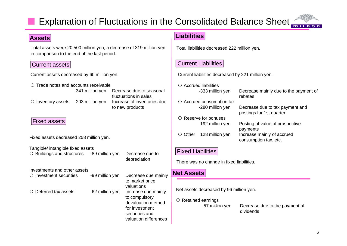# Explanation of Fluctuations in the Consolidated Balance Sheet



Total assets were 20,500 million yen, a decrease of 319 million yen in comparison to the end of the last period.

#### Current assets

**Assets**

| Current assets decreased by 60 million yen. |  |
|---------------------------------------------|--|
|---------------------------------------------|--|

| $\circ$ Trade notes and accounts receivable |                  |                                                                                                  | $\circlearrowright$ Accrued liabilitie |                             |
|---------------------------------------------|------------------|--------------------------------------------------------------------------------------------------|----------------------------------------|-----------------------------|
|                                             | -341 million yen | Decrease due to seasonal<br>fluctuations in sales                                                |                                        | $-333$ mill                 |
| $\circ$ Inventory assets                    | 203 million yen  | Increase of inventories due<br>to new products                                                   | $\circ$ Accrued consun                 | -280 mill                   |
| <b>Fixed assets</b>                         |                  |                                                                                                  |                                        | Reserve for bon<br>192 mill |
| Fixed assets decreased 258 million yen.     |                  |                                                                                                  | Other<br>$\bigcirc$                    | 128 mill                    |
| Tangible/ intangible fixed assets           |                  |                                                                                                  |                                        |                             |
| $\circ$ Buildings and structures            | -89 million yen  | Decrease due to                                                                                  | <b>Fixed Liabilities</b>               |                             |
|                                             |                  | depreciation                                                                                     | There was no chang                     |                             |
| Investments and other assets                |                  |                                                                                                  | <b>Net Assets</b>                      |                             |
| $\circ$ Investment securities               | -99 million yen  | Decrease due mainly                                                                              |                                        |                             |
|                                             |                  | to market price<br>valuations                                                                    |                                        |                             |
| $\circ$ Deferred tax assets                 | 62 million yen   | Increase due mainly                                                                              | Net assets decrease                    |                             |
|                                             |                  | to compulsory<br>devaluation method<br>for investment<br>securities and<br>valuation differences | $\circ$ Retained earning               | $-57$ mil                   |

#### **Liabilities**

Total liabilities decreased 222 million yen.

#### Current Liabilities

Current liabilities decreased by 221 million yen.

|               | de notes and accounts receivable |                                                   |               | $\circ$ Accrued liabilities     |                                                             |
|---------------|----------------------------------|---------------------------------------------------|---------------|---------------------------------|-------------------------------------------------------------|
|               | -341 million yen                 | Decrease due to seasonal<br>fluctuations in sales |               | -333 million yen                | Decrease mainly due to the payment of<br>rebates            |
| entory assets | 203 million yen                  | Increase of inventories due                       |               | $\circ$ Accrued consumption tax |                                                             |
|               |                                  | to new products                                   |               | -280 million yen                | Decrease due to tax payment and<br>postings for 1st quarter |
|               |                                  |                                                   |               | $\circ$ Reserve for bonuses     |                                                             |
| d assets      |                                  |                                                   |               | 192 million yen                 | Posting of value of prospective<br>payments                 |
|               | ssets decreased 258 million yen. |                                                   | $\circ$ Other | 128 million yen                 | Increase mainly of accrued<br>consumption tax, etc.         |
|               |                                  |                                                   |               |                                 |                                                             |

There was no change in fixed liabilities.

#### **Net Assets**

Net assets decreased by 96 million yen.

#### $\circ$  Retained earnings

-57 million yen

develociation method. The state of the payment of the payment of for investment of  $\sim$  57 million yen Decrease due to the payment of dividends

**MILBON**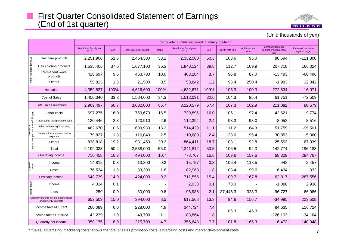#### First Quarter Consolidated Statement of Earnings (End of 1st quarter)



(Unit: thousands of yen)

|                                                 |                                                                |                                 | 1st quarter cumulative period (January to March) |                         |                |                                 |        |                 |                     |                                                       |                                      |
|-------------------------------------------------|----------------------------------------------------------------|---------------------------------|--------------------------------------------------|-------------------------|----------------|---------------------------------|--------|-----------------|---------------------|-------------------------------------------------------|--------------------------------------|
|                                                 |                                                                | Results for fiscal year<br>2010 | Ratio                                            | Fiscal year 2011 target | Ratio          | Results for fiscal year<br>2011 | Ratio  | Growth rate (%) | Achievement<br>rate | Increase/ decrease<br>against previous fiscal<br>vear | Increase/ decrease<br>against target |
|                                                 | Hair care products                                             | 2,251,906                       | 51.6                                             | 2,454,300               | 53.2           | 2,332,500                       | 50.3   | 103.6           | 95.0                | 80,594                                                | $-121,800$                           |
|                                                 | Hair coloring products                                         | 1,635,406                       | 37.5                                             | 1,677,100               | 36.3           | 1,843,124                       | 39.8   | 112.7           | 109.9               | 207,718                                               | 166,024                              |
| Product category totals                         | Permanent wave<br>products                                     | 416,697                         | 9.6                                              | 463,700                 | 10.0           | 403,204                         | 8.7    | 96.8            | 87.0                | $-13,493$                                             | $-60,496$                            |
|                                                 | Others                                                         | 55,825                          | 1.3                                              | 21,500                  | 0.5            | 53,842                          | 1.2    | 96.4            | 250.4               | $-1,983$                                              | 32,342                               |
|                                                 | Net sales                                                      | 4,359,837                       | 100%                                             | 4,616,600               | 100%           | 4,632,671                       | 100%   | 106.3           | 100.3               | 272,834                                               | 16,071                               |
|                                                 | Cost of Sales                                                  | 1,450,340                       | 33.3                                             | 1,584,600               | 34.3           | 1,512,091                       | 32.6   | 104.3           | 95.4                | 61,751                                                | $-72,509$                            |
|                                                 | Total sales revenues                                           | 2,909,497                       | 66.7                                             | 3,032,000               | 65.7           | 3,120,579                       | 67.4   | 107.3           | 102.9               | 211,082                                               | 88,579                               |
|                                                 | Labor costs                                                    | 697,275                         | 16.0                                             | 759,670                 | 16.5           | 739,896                         | 16.0   | 106.1           | 97.4                | 42,621                                                | $-19,774$                            |
| Selling, general and administrative<br>expenses | Travel costs/ transportation costs                             | 120,446                         | 2.8                                              | 120,910                 | 2.6            | 112,394                         | 2.4    | 93.3            | 93.0                | $-8,052$                                              | $-8,516$                             |
|                                                 | Sales/ advertising/ marketing<br>costs*                        | 462,670                         | 10.6                                             | 609,930                 | 13.2           | 514,429                         | 11.1   | 111.2           | 84.3                | 51,759                                                | $-95,501$                            |
|                                                 | Depreciation and amortization<br>expense                       | 79,827                          | 1.8                                              | 116,040                 | 2.5            | 110,680                         | 2.4    | 138.6           | 95.4                | 30,853                                                | $-5,360$                             |
|                                                 | <b>Others</b>                                                  | 838,818                         | 19.2                                             | 931,450                 | 20.2           | 864,411                         | 18.7   | 103.1           | 92.8                | 25,593                                                | $-67,039$                            |
|                                                 | Total                                                          | 2,199,038                       | 50.4                                             | 2,538,000               | 55.0           | 2,341,812                       | 50.5   | 106.5           | 92.3                | 142,774                                               | $-196, 188$                          |
|                                                 | Operating income                                               | 710,458                         | 16.3                                             | 494,000                 | 10.7           | 778,767                         | 16.8   | 109.6           | 157.6               | 68,309                                                | 284,767                              |
| Non-<br>operating                               | Income                                                         | 14,815                          | 0.3                                              | 13,300                  | 0.3            | 15,757                          | 0.3    | 106.4           | 118.5               | 942                                                   | 2,457                                |
|                                                 | Costs                                                          | 76,534                          | 1.8                                              | 83,300                  | 1.8            | 82,968                          | 1.8    | 108.4           | 99.6                | 6,434                                                 | $-332$                               |
|                                                 | Ordinary income                                                | 648,739                         | 14.9                                             | 424,000                 | 9.2            | 711,556                         | 15.4   | 109.7           | 167.8               | 62,817                                                | 287,556                              |
| Extraordinary                                   | Income                                                         | 4,024                           | 0.1                                              |                         | $\blacksquare$ | 2,938                           | 0.1    | 73.0            |                     | $-1,086$                                              | 2,938                                |
|                                                 | Loss                                                           | 259                             | 0.0                                              | 30,000                  | 0.6            | 96,986                          | 2.1    | 37,446.3        | 323.3               | 96,727                                                | 66,986                               |
|                                                 | Quarterly income before income taxes<br>and minority interests | 652,503                         | 15.0                                             | 394,000                 | 8.5            | 617,508                         | 13.3   | 94.6            | 156.7               | $-34,995$                                             | 223,508                              |
|                                                 | Income taxes-Current                                           | 260,089                         | 6.0                                              | 228,000                 | 4.9            | 344,724                         | 7.4    |                 | 146.3               | 84,635                                                | 116,724                              |
|                                                 | Income taxes-Deferred                                          | 42,239                          | 1.0                                              | $-49,700$               | $-1.1$         | $-83,864$                       | $-1.8$ | 86.3            |                     | $-126, 103$                                           | $-34,164$                            |
| Quarterly net income                            |                                                                | 350,175                         | 8.0                                              | 215,700                 | 4.7            | 356,648                         | 7.7    | 101.8           | 165.3               | 6,473                                                 | 140,948                              |

\* "Sales/ advertising/ marketing costs" shows the total of sales promotion costs, advertising costs and market development costs. <sup>7</sup>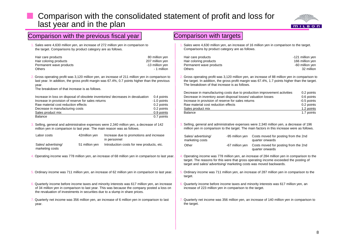#### Comparison with the consolidated statement of profit and loss for last year and in the plan



| Comparison with the previous fiscal year                                                                                                                                                                                                                                                                   | <b>Comparison with targets</b>                                                                                                                                                                                                                                                                                                                              |  |  |  |  |
|------------------------------------------------------------------------------------------------------------------------------------------------------------------------------------------------------------------------------------------------------------------------------------------------------------|-------------------------------------------------------------------------------------------------------------------------------------------------------------------------------------------------------------------------------------------------------------------------------------------------------------------------------------------------------------|--|--|--|--|
| 1. Sales were 4,630 million yen, an increase of 272 million yen in comparison to<br>the target. Comparisons by product category are as follows.                                                                                                                                                            | Sales were 4,630 million yen, an increase of 16 million yen in comparison to the target.<br>Comparisons by product category are as follows.                                                                                                                                                                                                                 |  |  |  |  |
| Hair care products<br>80 million yen<br>207 million yen<br>Hair coloring products<br>Permanent wave products<br>-13 million yen<br>- 1 million<br><b>Others</b>                                                                                                                                            | Hair care products<br>-121 million yen<br>Hair coloring products<br>166 million yen<br>-60 million yen<br>Permanent wave products<br>32 million<br><b>Others</b>                                                                                                                                                                                            |  |  |  |  |
| 2. Gross operating profit was 3,120 million yen, an increase of 211 million yen in comparison to<br>last year. In addition, the gross profit margin was 67.4%, 0.7 points higher than the previous<br>year.<br>The breakdown of that increase is as follows.                                               | 2. Gross operating profit was 3,120 million yen, an increase of 88 million yen in comparison to<br>the target. In addition, the gross profit margin was 67.4%, 1.7 points higher than the target.<br>The breakdown of that increase is as follows.                                                                                                          |  |  |  |  |
| Increase in loss on disposal of obsolete inventories/ decreases in devaluation<br>0.4 points<br>Increase in provision of reserve for sales returns<br>-1.0 points<br>Raw material cost reduction effects<br>0.2 points<br>0.2 points<br>Decrease in manufacturing costs<br>Sales product mix<br>0.9 points | Decrease in manufacturing costs due to production improvement activities<br>0.2 points<br>Decrease in inventory asset disposal losses/ valuation losses<br>0.6 points<br>Increase in provision of reserve for sales returns<br>-0.5 points<br>Raw material cost reduction effects<br>0.2 points<br>Sales product mix<br>1.2 points<br>1.7 points<br>Balance |  |  |  |  |
| 0.7 points<br><b>Balance</b><br>3. Selling, general and administrative expenses were 2,340 million yen, a decrease of 142<br>million yen in comparison to last year. The main reason was as follows.                                                                                                       | 3. Selling, general and administrative expenses were 2,340 million yen, a decrease of 196<br>million yen in comparison to the target. The main factors in this increase were as follows.                                                                                                                                                                    |  |  |  |  |
| Labor costs<br>Increase due to promotions and increase<br>42million yen<br>in personnel                                                                                                                                                                                                                    | Sales/ advertising/<br>Costs moved for posting from the 2nd<br>-95 million yen<br>marketing costs<br>quarter onwards                                                                                                                                                                                                                                        |  |  |  |  |
| Sales/ advertising/<br>Introduction costs for new products, etc.<br>51 million yen<br>marketing costs                                                                                                                                                                                                      | Other<br>Costs moved for posting from the 2nd<br>-67 million yen<br>quarter onwards                                                                                                                                                                                                                                                                         |  |  |  |  |
| 4. Operating income was 778 million yen, an increase of 68 million yen in comparison to last year.                                                                                                                                                                                                         | 4. Operating income was 778 million yen, an increase of 284 million yen in comparison to the<br>target. The reasons for this were that gross operating income exceeded the posting of<br>target and sales/ advertising/ marketing costs was moved backwards.                                                                                                |  |  |  |  |
| 5. Ordinary income was 711 million yen, an increase of 62 million yen in comparison to last year.                                                                                                                                                                                                          | 5. Ordinary income was 711 million yen, an increase of 287 million yen in comparison to the<br>target.                                                                                                                                                                                                                                                      |  |  |  |  |
| 6. Quarterly income before income taxes and minority interests was 617 million yen, an increase<br>of 34 million yen in comparison to last year. This was because the company posted a loss on<br>the revaluation of investments in securities due to a slump in share prices.                             | 6. Quarterly income before income taxes and minority interests was 617 million yen, an<br>increase of 223 million yen in comparison to the target.                                                                                                                                                                                                          |  |  |  |  |
| Quarterly net income was 356 million yen, an increase of 6 million yen in comparison to last<br>year.                                                                                                                                                                                                      | 7. Quarterly net income was 356 million yen, an increase of 140 million yen in comparison to<br>the target.                                                                                                                                                                                                                                                 |  |  |  |  |
|                                                                                                                                                                                                                                                                                                            |                                                                                                                                                                                                                                                                                                                                                             |  |  |  |  |
|                                                                                                                                                                                                                                                                                                            |                                                                                                                                                                                                                                                                                                                                                             |  |  |  |  |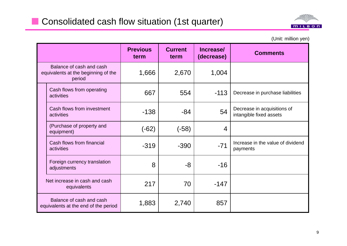

(Unit: million yen)

|                                                                           | <b>Previous</b><br>term | <b>Current</b><br>term | Increase/<br>(decrease) | <b>Comments</b>                                        |
|---------------------------------------------------------------------------|-------------------------|------------------------|-------------------------|--------------------------------------------------------|
| Balance of cash and cash<br>equivalents at the beginning of the<br>period | 1,666                   | 2,670                  | 1,004                   |                                                        |
| Cash flows from operating<br>activities                                   | 667                     | 554                    | $-113$                  | Decrease in purchase liabilities                       |
| Cash flows from investment<br>activities                                  | $-138$                  | -84                    | 54                      | Decrease in acquisitions of<br>intangible fixed assets |
| (Purchase of property and<br>equipment)                                   | (-62)                   | $(-58)$                | 4                       |                                                        |
| Cash flows from financial<br>activities                                   | $-319$                  | $-390$                 | $-71$                   | Increase in the value of dividend<br>payments          |
| Foreign currency translation<br>adjustments                               | 8                       | -8                     | $-16$                   |                                                        |
| Net increase in cash and cash<br>equivalents                              | 217                     | 70                     | $-147$                  |                                                        |
| Balance of cash and cash<br>equivalents at the end of the period          | 1,883                   | 2,740                  | 857                     |                                                        |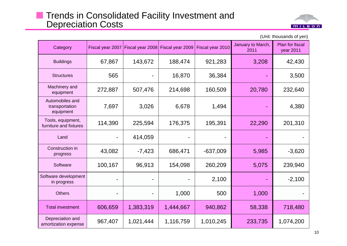#### **Thends in Consolidated Facility Investment and** Depreciation Costs



| Category                                       |         | Fiscal year 2007   Fiscal year 2008   Fiscal year 2009 |           | Fiscal year 2010 | January to March,<br>2011 | Plan for fiscal<br>year 2011 |
|------------------------------------------------|---------|--------------------------------------------------------|-----------|------------------|---------------------------|------------------------------|
| <b>Buildings</b>                               | 67,867  | 143,672                                                | 188,474   | 921,283          | 3,208                     | 42,430                       |
| <b>Structures</b>                              | 565     |                                                        | 16,870    | 36,384           |                           | 3,500                        |
| Machinery and<br>equipment                     | 272,887 | 507,476                                                | 214,698   | 160,509          | 20,780                    | 232,640                      |
| Automobiles and<br>transportation<br>equipment | 7,697   | 3,026                                                  | 6,678     | 1,494            |                           | 4,380                        |
| Tools, equipment,<br>furniture and fixtures    | 114,390 | 225,594                                                | 176,375   | 195,391          | 22,290                    | 201,310                      |
| Land                                           |         | 414,059                                                |           |                  |                           |                              |
| Construction in<br>progress                    | 43,082  | $-7,423$                                               | 686,471   | $-637,009$       | 5,985                     | $-3,620$                     |
| Software                                       | 100,167 | 96,913                                                 | 154,098   | 260,209          | 5,075                     | 239,940                      |
| Software development<br>in progress            |         |                                                        |           | 2,100            |                           | $-2,100$                     |
| <b>Others</b>                                  |         |                                                        | 1,000     | 500              | 1,000                     |                              |
| <b>Total investment</b>                        | 606,659 | 1,383,319                                              | 1,444,667 | 940,862          | 58,338                    | 718,480                      |
| Depreciation and<br>amortization expense       | 967,407 | 1,021,444                                              | 1,116,759 | 1,010,245        | 233,735                   | 1,074,200                    |

(Unit: thousands of yen)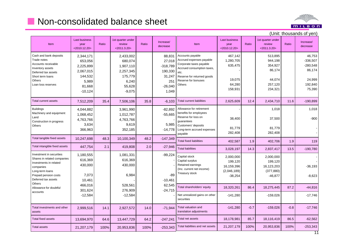## **Non-consolidated balance sheet**



#### Last business iness | 1st quarter under der | Ist quarter under | Ist of the Last business | Ist quarter under (Unit: thousands of yen) ItemLast business year <2010.12.20> Ratioreview<2011.3.20>Ratio Increase/ decreaseAccounts payable Accrued expenses payable Corporate taxes payable  $-318,789$   $\alpha$  ccrued consumption taxes, 467,142 1,280,705 635,475 513,895 944,198 354,927 46,753 -336,507 -280,548 Itemyear <2010.12.20> Ratioreview<2011.3.20>Ratio Increase/ decreaseCash and bank deposits Trade notesAccounts receivableInventory assets 2,344,171 653,056 2,225,899 2,433,002 680,074 1,907,110 88,831 27,018 etc. Reserve for returned goods Reserve for bonuses**Others** 19,075 64,280 158,931 86,174 44,074 257,120 234,321 86,174 24,999 192,840 75,390 Deferred tax assetsShort term loans**Others** Loan loss reserves2,067,015 144,532 5,989 81,668 -10,124 2,257,345 175,779 6,240 55,628 -9,075 318,789 190,330 31,247 251-26,040 1,049 Total current liabilities 2,625,609 12.4 2,434,710 11.6 -190,899 Allowance for retirement benefits for employees Reserve for loss on guarantees 38,400 1,018 37,500 1,018 -900Total current assets 7,512,209 35.4 7,506,106 35.8 -6,103 **Buildings** Machinery and equipment LandConstruction in progress 4,044,882 1,068,452 4,763,766 3,961,990 1,012,787 4,763,766 -82,892 -55,665 Customers' deposits Long-term accrued expenses payable 81,779 282,408 81,779 282,408 Total fixed liabilities 402,587 1.9 402,706 1.9 119 Total liabilities 3,028,197 14.3 2,837,417 13.5 -190,780 **Others**  3,634 366,963 9,619 352,185 5,985 -14,778 Total tangible fixed assets 10,247,698 48.3 10,100,349 48.2 -147,349 Total intangible fixed assets 447,754 2.1 419,808 2.0 -27,946 Capital stock Capital surplus Retained earnings (Inc. current net income) Treasury stock 2,000,000 199,120 16,159,396 (2,046,189) -38,254 2,000,000 199,120 16,123,203 (377,880) -46,877 -36,193 -8,623 Investment in securitiesShares in related companies Investments in related companies Long-term loans Prepaid pension costs Deferred tax assets 1,180,555 616,369 430,000 7,073 1,081,331 616,369 430,000 6,984 -99,224 -89 Total shareholders' equity | 18,320,261 | 86.4 | 18,275,445 | 87.2 | -44,816 Net unrealized gains on other securities -141,280 -159,026 -159,026 T t l l ti d Total valuation and  $-141.280$  $-0.7$   $-159.026$   $-0.8$   $-17.746$ **Others** Allowance for doubtful accounts10,461 466,016 301,624 -12,584 528,561 276,909 -12,584 -10,461 62,545 -24,715 Total investments and other translation adjustments Total valuation and translation adjustments<br>
translation adjustments<br>
Total net assets<br>
Total net assets<br>
Total net assets Total net assets **18,178,981** 85.7 **18,116,419** 86.5 -62,562 Total liabilities and net assets 21,207,179 100% 20,953,836 100% -253,343 assets2,999,516 14.1 2.927,572 14.0 Total fixed assets 13,694,970 64.6 13,447,729 64.2 -247,241 Total assets21,207,179 100% 20,953,836 100% -253,343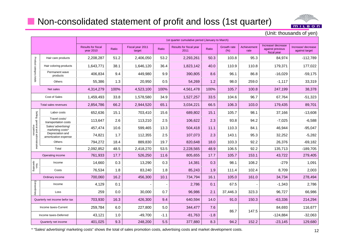# **Non-consolidated statement of profit and loss (1st quarter)**



(Unit: thousands of yen)

|                                                 |                                          |                                               | 1st quarter cumulative period (January to March) |                            |        |                                 |        |                     |                     |                                                       |                                     |
|-------------------------------------------------|------------------------------------------|-----------------------------------------------|--------------------------------------------------|----------------------------|--------|---------------------------------|--------|---------------------|---------------------|-------------------------------------------------------|-------------------------------------|
|                                                 |                                          | <b>Results for fiscal</b><br><b>year 2010</b> | Ratio                                            | Fiscal year 2011<br>target | Ratio  | Results for fiscal year<br>2011 | Ratio  | Growth rate<br>(% ) | Achievement<br>rate | Increase/ decrease<br>against previous<br>fiscal year | Increase/decrease<br>against target |
|                                                 | Hair care products                       | 2,208,287                                     | 51.2                                             | 2,406,050                  | 53.2   | 2,293,261                       | 50.3   | 103.8               | 95.3                | 84,974                                                | $-112,789$                          |
|                                                 | Hair coloring products                   | 1,643,771                                     | 38.1                                             | 1,646,120                  | 36.4   |                                 | 40.0   | 110.9               | 110.8               | 179,371                                               | 177,022                             |
| Product category totals                         | Permanent wave<br>products               | 406,834                                       | 9.4                                              | 449,980                    | 9.9    |                                 | 8.6    | 96.1                | 86.8                | $-16,029$                                             | $-59,175$                           |
|                                                 | Others                                   | 55,386                                        | 1.3                                              | 20,950                     | 0.5    | 54,269                          | 1.2    | 98.0                | 259.0               | $-1,117$                                              | 33,319                              |
|                                                 | Net sales                                | 4,314,279                                     | 100%                                             | 4,523,100                  | 100%   | 4,561,478                       | 100%   | 105.7               | 100.8               | 247,199                                               | 38,378                              |
|                                                 | Cost of Sales                            | 1,459,493                                     | 33.8                                             | 1,578,580                  | 34.9   | 1,527,257                       | 33.5   | 104.6               | 96.7                | 67,764                                                | $-51,323$                           |
|                                                 | Total sales revenues                     | 2,854,786                                     | 66.2                                             | 2,944,520                  | 65.1   | 3,034,221                       | 66.5   | 106.3               | 103.0               | 179,435                                               | 89,701                              |
|                                                 | Labor costs                              | 652,636                                       | 15.1                                             | 703,410                    | 15.6   | 689,802                         | 15.1   | 105.7               | 98.1                | 37,166                                                | $-13,608$                           |
| Selling, general and administrative<br>expenses | Travel costs/<br>transportation costs    | 113,647                                       | 2.6                                              | 113,210                    | 2.5    | 106,622                         | 2.3    | 93.8                | 94.2                | $-7,025$                                              | $-6,588$                            |
|                                                 | Sales/ advertising/<br>marketing costs*  | 457,474                                       | 10.6                                             | 599,465                    | 13.3   | 504,418                         | 11.1   | 110.3               | 84.1                | 46,944                                                | $-95,047$                           |
|                                                 | Depreciation and<br>amortization expense | 74,821                                        | 1.7                                              | 112,355                    | 2.5    | 107,073                         | 2.3    | 143.1               | 95.3                | 32,252                                                | $-5,282$                            |
|                                                 | Others                                   | 794,272                                       | 18.4                                             | 889,830                    | 19.7   | 820,648                         | 18.0   | 103.3               | 92.2                | 26,376                                                | $-69,182$                           |
|                                                 | Total                                    | 2,092,852                                     | 48.5                                             | 2,418,270                  | 53.5   | 2,228,565                       | 48.9   | 106.5               | 92.2                | 135,713                                               | $-189,705$                          |
|                                                 | Operating income                         | 761,933                                       | 17.7                                             | 526,250                    | 11.6   | 805,655                         | 17.7   | 105.7               | 153.1               | 43,722                                                | 279,405                             |
| Non-<br>operating                               | Income                                   | 14,660                                        | 0.3                                              | 13,290                     | 0.3    | 14,381                          | 0.3    | 98.1                | 108.2               | $-279$                                                | 1,091                               |
|                                                 | Costs                                    | 76,534                                        | 1.8                                              | 83,240                     | 1.8    | 85,243                          | 1.9    | 111.4               | 102.4               | 8,709                                                 | 2,003                               |
|                                                 | Ordinary income                          | 700,060                                       | 16.2                                             | 456,300                    | 10.1   | 734,794                         | 16.1   | 105.0               | 161.0               | 34,734                                                | 278,494                             |
|                                                 | Income                                   | 4,129                                         | 0.1                                              |                            |        | 2,786                           | 0.1    | 67.5                |                     | $-1,343$                                              | 2,786                               |
| Extraordinary                                   | Loss                                     | 259                                           | 0.0                                              | 30,000                     | 0.7    | 96,986                          | 2.1    | 37,446.3            | 323.3               | 96,727                                                | 66,986                              |
|                                                 | Quarterly net income befor tax           | 703,930                                       | 16.3                                             | 426,300                    | 9.4    | 640,594                         | 14.0   | 91.0                | 150.3               | $-63,336$                                             | 214,294                             |
|                                                 | Income taxes-Current                     | 259,784                                       | 6.0                                              | 227,800                    | 5.0    | 344,477                         | 7.6    |                     |                     | 84,693                                                | 116,677                             |
|                                                 | Income taxes-Deferred                    | 43,121                                        | 1.0                                              | $-49,700$                  | $-1.1$ | $-81,763$                       | $-1.8$ | 86.7                | 147.5               | $-124,884$                                            | $-32,063$                           |
| Quarterly net income                            |                                          | 401,025                                       | 9.3                                              | 248,200                    | 5.5    | 377,880                         | 8.3    | 94.2                | 152.2               | $-23,145$                                             | 129,680                             |

\* "Sales/ advertising/ marketing costs" shows the total of sales promotion costs, advertising costs and market development costs. 42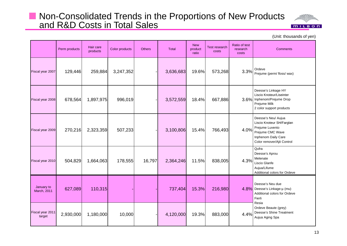### ■ Non-Consolidated Trends in the Proportions of New Products and R&D Costs in Total Sales



(Unit: thousands of yen)

|                            | Perm products | Hair care<br>products | Color products | <b>Others</b> | <b>Total</b> | <b>New</b><br>product<br>ratio | <b>Test research</b><br>costs | Ratio of test<br>research<br>costs | <b>Comments</b>                                                                                                                              |
|----------------------------|---------------|-----------------------|----------------|---------------|--------------|--------------------------------|-------------------------------|------------------------------------|----------------------------------------------------------------------------------------------------------------------------------------------|
| Fiscal year 2007           | 129,446       | 259,884               | 3,247,352      |               | 3,636,683    | 19.6%                          | 573,268                       | 3.3%                               | Ordeve<br>Prejume (perm/ floss/ wax)                                                                                                         |
| Fiscal year 2008           | 678,564       | 1,897,975             | 996,019        |               | 3,572,559    | 18.4%                          | 667,886                       |                                    | Deesse's Linkage HY<br>Liscio Knoteur/Liseinter<br>3.6% Inphenom/Prejume Drop<br>Prejume Milk<br>2 color support products                    |
| Fiscal year 2009           | 270,216       | 2,323,359             | 507,233        |               | 3,100,806    | 15.4%                          | 766,493                       | 4.0%                               | Deesse's Neu/ Aujua<br>Liscio Knoteur SH/Farglan<br>Prejume Luvento<br>Prejume CMC Wave<br>Inphenom Daily Care<br>Color remover/Ajit Control |
| Fiscal year 2010           | 504,829       | 1,664,063             | 178,555        | 16,797        | 2,364,246    | 11.5%                          | 838,005                       | 4.3%                               | Qufra<br>Deesse's Aprou<br>Melenate<br>Liscio Glanfe<br>Aujua/Lifume<br>Additional colors for Ordeve                                         |
| January to<br>March, 2011  | 627,089       | 110,315               |                |               | 737,404      | 15.3%                          | 216,980                       |                                    | Deesse's Neu due<br>4.8% Deesse's Linkage-µ (mu)<br>Additional colors for Ordeve<br>Fierli<br>Resia                                          |
| Fiscal year 2011<br>target | 2,930,000     | 1,180,000             | 10,000         |               | 4,120,000    | 19.3%                          | 883,000                       | 4.4%                               | Ordeve Beaute (grey)<br>Deesse's Shine Treatment<br>Aujua Aging Spa                                                                          |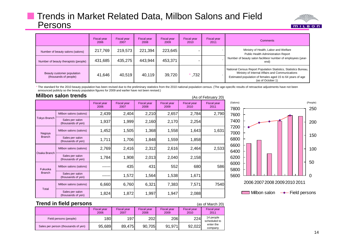#### **Thends in Market Related Data, Milbon Salons and Field** Persons



|                                                     | Fiscal year<br>2006 | Fiscal year<br>2007 | <b>Fiscal year</b><br>2008 | <b>Fiscal year</b><br>2009 | Fiscal year<br>2010 | Fiscal year<br>2011 | <b>Comments</b>                                                                                                                                                                                        |  |
|-----------------------------------------------------|---------------------|---------------------|----------------------------|----------------------------|---------------------|---------------------|--------------------------------------------------------------------------------------------------------------------------------------------------------------------------------------------------------|--|
| Number of beauty salons (salons)                    | 217,769             | 219,573             | 221,394                    | 223,645                    |                     |                     | Ministry of Health, Labor and Welfare<br>Public Health Administration Report                                                                                                                           |  |
| Number of beauty therapists (people)                | 431,685             | 435,275             | 443,944                    | 453,371                    |                     |                     | Number of beauty salon facilities/ number of employees (year-<br>end)                                                                                                                                  |  |
| Beauty customer population<br>(thousands of people) | 41,646              | 40,519              | 40,119                     | 39,720                     | ,732                |                     | National Census Report Population Statistics, Statistics Bureau,<br>Ministry of Internal Affairs and Communications<br>Estimated population of females aged 15 to 64 years of age<br>(as of October 1) |  |

\* The standard for the 2010 beauty population has been revised due to the preliminary statistics from the 2010 national population census. (The age-specific results of retroactive adjustments have not been announced publicly so the beauty population figures for 2009 and earlier have not been revised.)

#### **Milbon salon trends**\_\_\_\_

|                     | MIIDON SAION trends                   |                            |                            |                            |                            |                            | (As of February 20)        |
|---------------------|---------------------------------------|----------------------------|----------------------------|----------------------------|----------------------------|----------------------------|----------------------------|
|                     |                                       | <b>Fiscal year</b><br>2006 | <b>Fiscal year</b><br>2007 | <b>Fiscal year</b><br>2008 | <b>Fiscal year</b><br>2009 | <b>Fiscal year</b><br>2010 | <b>Fiscal year</b><br>2011 |
|                     | Milbon salons (salons)                | 2,439                      | 2,404                      | 2,210                      | 2,657                      | 2,784                      | 2,790                      |
| <b>Tokyo Branch</b> | Sales per salon<br>(thousands of yen) | 1,937                      | 1,999                      | 2,160                      | 2,170                      | 2,254                      |                            |
| Nagoya              | Milbon salons (salons)                | 1,452                      | 1,505                      | 1,368                      | 1,558                      | 1,643                      | 1,631                      |
| <b>Branch</b>       | Sales per salon<br>(thousands of yen) | 1,711                      | 1,706                      | 1,848                      | 1,559                      | 1,858                      |                            |
|                     | Milbon salons (salons)                | 2,769                      | 2,416                      | 2,312                      | 2,616                      | 2,464                      | 2,533                      |
| Osaka Branch        | Sales per salon<br>(thousands of yen) | 1,784                      | 1,908                      | 2,013                      | 2,040                      | 2,158                      |                            |
| Fukuoka             | Milbon salons (salons)                |                            | 435                        | 431                        | 552                        | 680                        | 586                        |
| <b>Branch</b>       | Sales per salon<br>(thousands of yen) |                            | 1,572                      | 1,564                      | 1,538                      | 1,671                      |                            |
|                     | Milbon salons (salons)                | 6,660                      | 6,760                      | 6,321                      | 7,383                      | 7,571                      | 7540                       |
| Total               | Sales per salon<br>(thousands of yen) | 1,824                      | 1,872                      | 1,997                      | 1,947                      | 2,088                      |                            |



#### **Trend in field persons**

(as of March 20)

|                                     | <b>Fiscal year</b><br>2006 | <b>Fiscal year</b><br>2007 | <b>Fiscal year</b><br>2008 | <b>Fiscal year</b><br>2009 | <b>Fiscal year</b><br>2010 | Fiscal year<br>2011       |
|-------------------------------------|----------------------------|----------------------------|----------------------------|----------------------------|----------------------------|---------------------------|
| Field persons (people)              | 180                        | 197                        | 202                        | 206                        | 224                        | 14 people<br>scheduled to |
| Sales per person (thousands of yen) | 95,689                     | 89,475                     | 90.705                     | 91,971                     | 92,022                     | enter the<br>company      |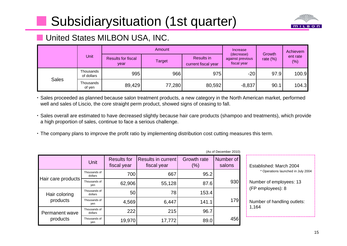# Subsidiarysituation (1st quarter)



## **N** United States MILBON USA, INC.

|              |                         |                                   | Amount        | Increase                          | Growth                                        | Achievem    |                    |  |
|--------------|-------------------------|-----------------------------------|---------------|-----------------------------------|-----------------------------------------------|-------------|--------------------|--|
|              | Unit                    | <b>Results for fiscal</b><br>year | <b>Target</b> | Results in<br>current fiscal year | (decrease)<br>against previous<br>fiscal year | rate $(\%)$ | ent rate<br>$(\%)$ |  |
|              | Thousands<br>of dollars | 995                               | 966           | 975                               | $-20$                                         | 97.9        | 100.9              |  |
| <b>Sales</b> | Thousands<br>of yen     | 89,429                            | 77,280        | 80,592                            | $-8,837$                                      | 90.1        | 104.3              |  |

 Sales proceeded as planned because salon treatment products, a new category in the North American market, performed well and sales of Liscio, the core straight perm product, showed signs of ceasing to fall.

- Sales overall are estimated to have decreased slightly because hair care products (shampoo and treatments), which provide a high proportion of sales, continue to face a serious challenge.
- The company plans to improve the profit ratio by implementing distribution cost cutting measures this term.

|                    | <b>Unit</b>             | <b>Results for</b><br>fiscal year | Results in current<br>fiscal year | Growth rate<br>(% ) | Number of<br>salons |
|--------------------|-------------------------|-----------------------------------|-----------------------------------|---------------------|---------------------|
|                    | Thousands of<br>dollars | 700                               | 667                               | 95.2                |                     |
| Hair care products | Thousands of<br>yen     | 62,906                            | 55,128                            | 87.6                | 930                 |
| Hair coloring      | Thousands of<br>dollars | 50                                | 78                                | 153.4               |                     |
| products           | Thousands of<br>ven     | 4,569                             | 6,447                             | 141.1               | 179                 |
| Permanent wave     | Thousands of<br>dollars | 222                               | 215                               | 96.7                |                     |
| products           | Thousands of<br>yen     | 19,970                            | 17,772                            | 89.0                | 456                 |

 $(As of December 2010)$ 

|     | (As of December 2010) |                                    |
|-----|-----------------------|------------------------------------|
| e   | Number of<br>salons   | Established: March 2004            |
| 5.2 |                       | * Operations launched in July 2004 |
| 7.6 | 930                   | Number of employees: 13            |
| 3.4 |                       | (FP employees): 8                  |
| 1.1 | 179                   | Number of handling outlets:        |
| 6.7 |                       | 1,164                              |
|     |                       |                                    |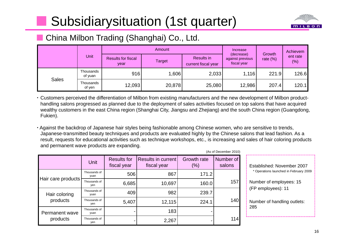# Subsidiarysituation (1st quarter)



## ■ China Milbon Trading (Shanghai) Co., Ltd.

|              | Unit                 |                                   | Amount        | Increase                          | Growth                                        | Achievem    |                 |
|--------------|----------------------|-----------------------------------|---------------|-----------------------------------|-----------------------------------------------|-------------|-----------------|
|              |                      | <b>Results for fiscal</b><br>year | <b>Target</b> | Results in<br>current fiscal year | (decrease)<br>against previous<br>fiscal year | rate $(\%)$ | ent rate<br>(%) |
| <b>Sales</b> | Thousands<br>of yuan | 916                               | ,606          | 2,033                             | 1,116                                         | 221.9       | 126.6           |
|              | Thousands<br>of yen  | 12,093                            | 20,878        | 25,080                            | 12,986                                        | 207.4       | 120.1           |

 Customers perceived the differentiation of Milbon from existing manufacturers and the new development of Milbon producthandling salons progressed as planned due to the deployment of sales activities focused on top salons that have acquired wealthy customers in the east China region (Shanghai City, Jiangsu and Zhejiang) and the south China region (Guangdong, Fukien).

 Against the backdrop of Japanese hair styles being fashionable among Chinese women, who are sensitive to trends, Japanese-transmitted beauty techniques and products are evaluated highly by the Chinese salons that lead fashion. As a result, requests for educational activities such as technique workshops, etc., is increasing and sales of hair coloring products and permanent wave products are expanding.

 $(A - I)$   $B - I$ 

|                            | (AS OF December 2010) |                                   |                                          |                              |                     |  |  |  |  |
|----------------------------|-----------------------|-----------------------------------|------------------------------------------|------------------------------|---------------------|--|--|--|--|
|                            | <b>Unit</b>           | <b>Results for</b><br>fiscal year | <b>Results in current</b><br>fiscal year | <b>Growth rate</b><br>$(\%)$ | Number of<br>salons |  |  |  |  |
|                            | Thousands of<br>yuan  | 506                               | 867                                      | 171.2                        |                     |  |  |  |  |
| Hair care products         | Thousands of<br>yen   | 6,685                             | 10,697                                   | 160.0                        | 157                 |  |  |  |  |
| Hair coloring<br>products  | Thousands of<br>yuan  | 409                               | 982                                      | 239.7                        |                     |  |  |  |  |
|                            | Thousands of<br>yen   | 5,407                             | 12,115                                   | 224.1                        | 140                 |  |  |  |  |
| Permanent wave<br>products | Thousands of<br>yuan  |                                   | 183                                      |                              |                     |  |  |  |  |
|                            | Thousands of<br>yen   |                                   | 2,267                                    |                              | 114                 |  |  |  |  |

|     | (As of December 2010) |                                               |
|-----|-----------------------|-----------------------------------------------|
| e   | Number of<br>salons   | Established: November 2007                    |
| 1.2 |                       | * Operations launched in February 2009        |
| 0.0 | 157                   | Number of employees: 15<br>(FP employees): 11 |
| 9.7 |                       |                                               |
| 4.1 | 140                   | Number of handling outlets:<br>285            |
|     |                       |                                               |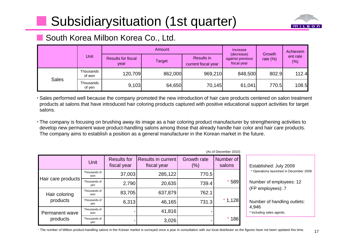# Subsidiarysituation (1st quarter)



## ■ South Korea Milbon Korea Co., Ltd.

|              |                     |                                   | Amount                                                                                | Increase<br>(decrease) | Growth  | Achievem |                 |
|--------------|---------------------|-----------------------------------|---------------------------------------------------------------------------------------|------------------------|---------|----------|-----------------|
|              | Unit                | <b>Results for fiscal</b><br>year | Results in<br>against previous<br><b>Target</b><br>fiscal year<br>current fiscal year |                        |         |          | ent rate<br>(%) |
| <b>Sales</b> | Thousands<br>of won | 120,709                           | 862,000                                                                               | 969,210                | 848,500 | 802.9    | 112.4           |
|              | Thousands<br>of yen | 9,103                             | 64,650                                                                                | 70,145                 | 61,041  | 770.5    | 108.5           |

 Sales performed well because the company promoted the new introduction of hair care products centered on salon treatment products at salons that have introduced hair coloring products captured with positive educational support activities for target salons.

• The company is focusing on brushing away its image as a hair coloring product manufacturer by strengthening activities to develop new permanent wave product-handling salons among those that already handle hair color and hair care products. The company aims to establish a position as a general manufacturer in the Korean market in the future.

|                            | $(7.00)$ or Begobilities Eq. (9) |                                   |                                   |                           |                     |                                  |  |  |  |
|----------------------------|----------------------------------|-----------------------------------|-----------------------------------|---------------------------|---------------------|----------------------------------|--|--|--|
|                            | Unit                             | <b>Results for</b><br>fiscal year | Results in current<br>fiscal year | <b>Growth rate</b><br>(%) | Number of<br>salons | Established: July                |  |  |  |
| Hair care products         | Thousands of<br>won              | 37,003                            | 285,122                           | 770.5                     |                     | * Operations launched            |  |  |  |
|                            | Thousands of<br>yen              | 2,790                             | 20,635                            | 739.4                     | $*589$              | Number of employ                 |  |  |  |
| Hair coloring<br>products  | Thousands of<br>won              | 83,705                            | 637,879                           | 762.1                     |                     | (FP employees): 7                |  |  |  |
|                            | Thousands of<br>yen              | 6,313                             | 46,165                            | 731.3                     | $*1,128$            | Number of handlin                |  |  |  |
| Permanent wave<br>products | Thousands of<br>won              |                                   | 41,816                            |                           |                     | 4,946<br>Including sales agents. |  |  |  |
|                            | Thousands of<br>yen              |                                   | 3,026                             |                           | $*186$              |                                  |  |  |  |

 $(Arot Docombar 2010)$ 

|     | (As of December 2010) |                                        |
|-----|-----------------------|----------------------------------------|
| e   | Number of<br>salons   | Established: July 2009                 |
| 0.5 |                       | * Operations launched in December 2009 |
| 9.4 | 589                   | Number of employees: 12                |
| 2.1 |                       | (FP employees): 7                      |
| 1.3 | $*1,128$              | Number of handling outlets:<br>4,946   |
|     |                       | * Including sales agents.              |
|     | * * ^ ^               |                                        |

\* The number of Milbon product-handling salons in the Korean market is surveyed once a year in consultation with our local distributor so the figures have not been updated this time.  $17$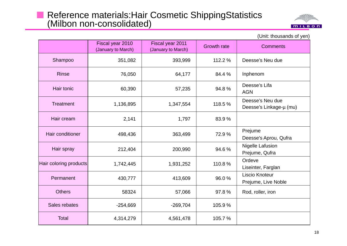# Reference materials:Hair Cosmetic ShippingStatistics (Milbon non-consolidated)

■



Fiscal year 2010 (January to March) Fiscal year 2011 (January to March) Growth rate Comments Shampoo | 351,082 393,999 112.2 % Deesse's Neu due Rinse76,050 64,177 84.4 % Inphenom Hair tonicc | 60,390 | 57,235 | 94.8 % Deesse's Lifa | 57,235 | 94.8 % | AGN **Treatment** 1,136,895  $\begin{vmatrix} 1,347,554 \end{vmatrix}$  118.5 % Deesse's Linkage-µ (mu) Hair creamm | 2,141 | 1,797 | 83.9 % Hair conditioner 498,436 363,499 72.9 % Prejume Deesse's Aprou, Qufra Hair spray 212,404 200,990 94.6 % Nigelle Lafusion<br>Prejume, Qufra Hair coloring products **1,742,445** 1,931,252 110.8 % Ordeve Liseinter, Farglan Permanent 430 777413,609 96.0 % Liscio Knoteur<br>Prejume, Live Noble **Others**  58324 57,066 97.8 % Rod, roller, iron Sales rebates $-254.669$   $-269.704$  105.9 % **Total** 4,314,279 4,561,478 105.7 %

(Unit: thousands of yen)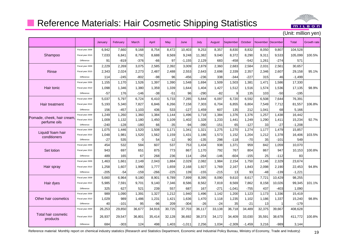

19

## **Reference Materials: Hair Cosmetic Shipping Statistics**

(Unit: million yen)

|                                 |                                | January        | February     | March             | April     | May          | June      | July            | August     | September       | October        | <b>November</b> | December        | <b>Total</b>  | Growth rate |
|---------------------------------|--------------------------------|----------------|--------------|-------------------|-----------|--------------|-----------|-----------------|------------|-----------------|----------------|-----------------|-----------------|---------------|-------------|
|                                 | Fiscal year 2009               | 6,942          | 7.660        | 9,168             | 8,754     | 8.472        | 10.403    | 9,253           | 8,357      | 8.830           | 8,832          | 8,050           | 9,807           | 104,528       |             |
| Shampoo                         | Fiscal year 2010               | 7,033          | 6,841        | 8,792             | 8,688     | 8,569        | 9,248     | 11,382          | 9,040      | 8,372           | 8,290          | 9,311           | 9,533           | 105,099       | 100.5%      |
|                                 | Difference                     | 91             | $-819$       | $-376$            | -66       | 97           | $-1,155$  | 2,129           | 683        | -458            | -542           | 1,261           | $-274$          | 571           |             |
|                                 | Fiscal year 2009               | 2,229          | 2,269        | 3,075             | 2,585     | 2,392        | 3,009     | 2,879           | 2,360      | 2,683           | 2,584          | 2,031           | 2,561           | 30,657        |             |
| Rinse                           | Fiscal year 2010               | 2,343          | 2,024        | 2,273             | 2,487     | 2,488        | 2,553     | 2,643           | 2,698      | 2,339           | 2,357          | 2,346           | 2,607           | 29,158        | 95.1%       |
|                                 | Difference                     | 114            | $-245$       | $-802$            | -98       | 96           | -456      | $-236$          | 338        | $-344$          | $-227$         | 315             | 46              | $-1,499$      |             |
|                                 | Fiscal year 2009               | 1,155          | 1,170        | 1,526             | 1,397     | 1,390        | 1,548     | 1,694           | 1,509      | 1,503           | 1,381          | 1,471           | 1,586           | 17,330        |             |
| Hair tonic                      | Fiscal year 2010               | 1,098          | 1,346        | 1,380             | 1,359     | 1,339        | 1,644     | 1,404           | 1,427      | 1,512           | 1,516          | 1,574           | 1,536           | 17,135        | 98.9%       |
|                                 | Difference                     | $-57$          | 176          | $-146$            | $-38$     | $-51$        | 96        | $-290$          | $-82$      | 9               | 135            | 103             | $-50$           | $-195$        |             |
|                                 | Fiscal year 2009               | 5,037          | 5,797        | 6.724             | 6.410     | 5.733        | 7,285     | 5.844           | 6.097      | 6.720           | 6,592          | 6,508           | 7.644           | 76,391        |             |
| Hair treatment                  | Fiscal year 2010               | 5,193          | 5,340        | 7,827             | 6,846     | 6,266        | 7,158     | 7,303           | 6,704      | 6,855           | 6,804          | 7,549           | 7,712           | 81,557        | 106.8%      |
|                                 | Difference                     | 156            | $-457$       | 1,103             | 436       | 533          | $-127$    | 1,459           | 607        | 135             | 212            | 1,041           | 68              | 5,166         |             |
| Pomade, cheek, hair cream       | Fiscal year 2009               | 1,249          | 1,260        | 1,360             | 1,384     | 1,144        | 1,496     | 1,718           | 1,384      | 1,376           | 1,376          | 1,257           | 1,438           | 16,442        |             |
| perfume oils                    | Fiscal year 2010               | 1,009          | 1,132        | 1,180             | 1,450     | 1,109        | 1,402     | 1,328           | 1,233      | 1,441           | 1,249          | 1,290           | 1,411           | 15,234        | 92.7%       |
|                                 | Difference                     | $-240$         | $-128$       | $-180$            | 66        | $-35$        | $-94$     | $-390$          | $-151$     | 65              | $-127$         | 33              | $-27$           | $-1,208$      |             |
| Liquid/ foam hair               | Fiscal year 2009               | 1,075          | 1,446        | 1,520             | 1,508     | 1.171        | 1,341     | 1,321           | 1,275      | 1,270           | 1,274          | 1,177           | 1,479           | 15,857        |             |
| conditioners                    | Fiscal year 2010<br>Difference | 1,048<br>$-27$ | 1,981<br>535 | 1,520<br>$\Omega$ | 1,562     | 1,159        | 1,431     | 1,186           | 1,573      | 1,152           | 1,204<br>$-70$ | 1,212           | 1,378           | 16,406        | 103.5%      |
|                                 | Fiscal year 2009               | 454            | 532          | 584               | 54<br>607 | $-12$<br>537 | 90<br>753 | $-135$<br>1,434 | 298<br>938 | $-118$<br>1,371 | 959            | 35<br>842       | $-101$<br>1,059 | 549<br>10,070 |             |
| Set lotion                      | Fiscal year 2010               | 943            | 697          | 651               | 875       | 773          | 867       | 1,170           | 792        | 767             | 804            | 867             | 947             | 10,153        | 100.8%      |
|                                 | Difference                     | 489            | 165          | 67                | 268       | 236          | 114       | $-264$          | $-146$     | $-604$          | $-155$         | 25              | $-112$          | 83            |             |
|                                 | Fiscal year 2009               | 1,463          | 1.661        | 2,149             | 2,043     | 1,884        | 2,029     | 2,082           | 1,984      | 2.154           | 1,750          | 2,146           | 2,329           | 23,674        |             |
| Hair spray                      | Fiscal year 2010               | 1,258          | 1,607        | 1,990             | 1,777     | 1,659        | 2,168     | 1,927           | 1,769      | 2,167           | 1,843          | 2,098           | 2,190           | 22,453        | 94.8%       |
|                                 | Difference                     | $-205$         | $-54$        | $-159$            | $-266$    | $-225$       | 139       | $-155$          | $-215$     | 13              | 93             | $-48$           | $-139$          | $-1,221$      |             |
|                                 | Fiscal year 2009               | 5,660          | 6,964        | 9,180             | 8,901     | 6,789        | 7,899     | 8,395           | 8,090      | 9,610           | 8,617          | 7,721           | 10,429          | 98,255        |             |
| Hair dyes                       | Fiscal year 2010               | 5,985          | 7,591        | 9,701             | 9.140     | 7,346        | 8,586     | 8,562           | 7,819      | 8,569           | 7,862          | 8,158           | 10,026          | 99,345        | 101.1%      |
|                                 | Difference                     | 325            | 627          | 521               | 239       | 557          | 687       | 167             | $-271$     | -1,041          | $-755$         | 437             | -403            | 1,090         |             |
|                                 | Fiscal year 2009               | 989            | 1,090        | 1,391             | 1,327     | 1,212        | 1,940     | 1,496           | 1,142      | 1,200           | 1,123          | 1,173           | 1,336           | 15,419        |             |
| Other hair cosmetics            | Fiscal year 2010               | 1,029          | 989          | 1,486             | 1,231     | 1,421        | 1,636     | 1,470           | 1,118      | 1,235           | 1,102          | 1,186           | 1,337           | 15,240        | 98.8%       |
|                                 | Difference                     | 40             | $-101$       | 95                | $-96$     | 209          | $-304$    | $-26$           | -24        | 35              | $-21$          | 13              |                 | $-179$        |             |
|                                 | Fiscal year 2009               | 26,253         | 29,850       | 36,677            | 34,916    | 30,725       | 37,703    | 36,117          | 33,138     | 36,718          | 34,489         | 32,375          | 39,667          | 408,628       |             |
| Total hair cosmetic<br>products | Fiscal year 2010               | 26,937         | 29,547       | 36,801            | 35,414    | 32,128       | 36,692    | 38,373          | 34,172     | 34,409          | 33,030         | 35,591          | 38,678          | 411.772       | 100.8%      |
|                                 | Difference                     | 684            | $-303$       | 124               | 498       | 1,403        | $-1,011$  | 2,256           | 1,034      | $-2,309$        | $-1,459$       | 3,216           | $-989$          | 3,144         |             |

Reference material: Monthly report on chemical industry statistics (Research and Statistics Department, Economic and Industrial Policy Bureau, Ministry of Economy, Trade and Industry)